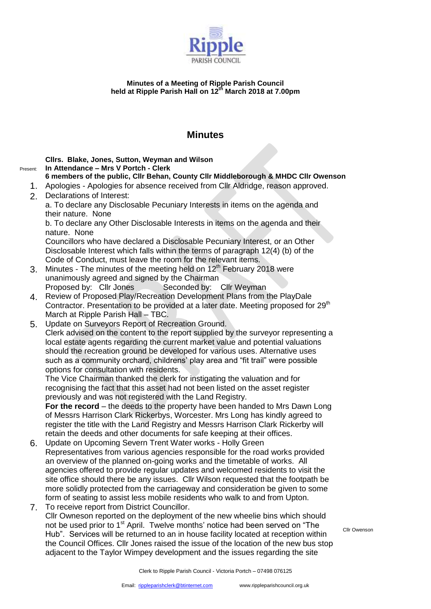

## **Minutes of a Meeting of Ripple Parish Council held at Ripple Parish Hall on 12th March 2018 at 7.00pm**

## **Minutes**

**Cllrs. Blake, Jones, Sutton, Weyman and Wilson**

## Present: **In Attendance – Mrs V Portch - Clerk**

- **6 members of the public, Cllr Behan, County Cllr Middleborough & MHDC Cllr Owenson**
- 1. Apologies Apologies for absence received from Cllr Aldridge, reason approved.
- 2. Declarations of Interest:
	- a. To declare any Disclosable Pecuniary Interests in items on the agenda and their nature. None

b. To declare any Other Disclosable Interests in items on the agenda and their nature. None

Councillors who have declared a Disclosable Pecuniary Interest, or an Other Disclosable Interest which falls within the terms of paragraph 12(4) (b) of the Code of Conduct, must leave the room for the relevant items.

- 3. Minutes The minutes of the meeting held on  $12<sup>th</sup>$  February 2018 were unanimously agreed and signed by the Chairman Proposed by: Cllr Jones Seconded by: Cllr Weyman
- 4. Review of Proposed Play/Recreation Development Plans from the PlayDale Contractor. Presentation to be provided at a later date. Meeting proposed for 29<sup>th</sup> March at Ripple Parish Hall – TBC.
- 5. Update on Surveyors Report of Recreation Ground.

Clerk advised on the content to the report supplied by the surveyor representing a local estate agents regarding the current market value and potential valuations should the recreation ground be developed for various uses. Alternative uses such as a community orchard, childrens' play area and "fit trail" were possible options for consultation with residents.

The Vice Chairman thanked the clerk for instigating the valuation and for recognising the fact that this asset had not been listed on the asset register previously and was not registered with the Land Registry.

**For the record** – the deeds to the property have been handed to Mrs Dawn Long of Messrs Harrison Clark Rickerbys, Worcester. Mrs Long has kindly agreed to register the title with the Land Registry and Messrs Harrison Clark Rickerby will retain the deeds and other documents for safe keeping at their offices.

- 6. Update on Upcoming Severn Trent Water works Holly Green Representatives from various agencies responsible for the road works provided an overview of the planned on-going works and the timetable of works. All agencies offered to provide regular updates and welcomed residents to visit the site office should there be any issues. Cllr Wilson requested that the footpath be more solidly protected from the carriageway and consideration be given to some form of seating to assist less mobile residents who walk to and from Upton.
- 7. To receive report from District Councillor. Cllr Owneson reported on the deployment of the new wheelie bins which should not be used prior to 1<sup>st</sup> April. Twelve months' notice had been served on "The Hub". Services will be returned to an in house facility located at reception within the Council Offices. Cllr Jones raised the issue of the location of the new bus stop adjacent to the Taylor Wimpey development and the issues regarding the site

Cllr Owenson

Clerk to Ripple Parish Council - Victoria Portch – 07498 076125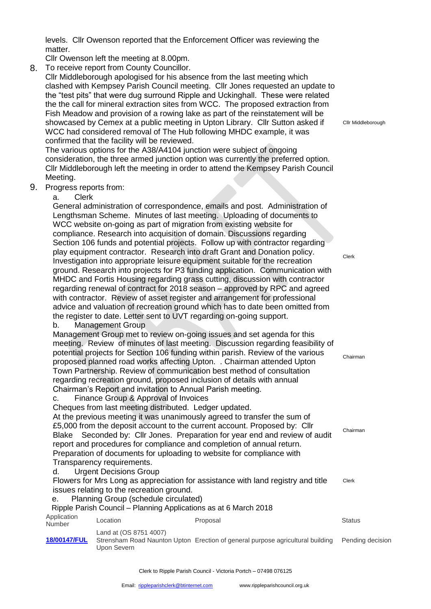levels. Cllr Owenson reported that the Enforcement Officer was reviewing the matter.

Cllr Owenson left the meeting at 8.00pm.

8. To receive report from County Councillor.

Cllr Middleborough apologised for his absence from the last meeting which clashed with Kempsey Parish Council meeting. Cllr Jones requested an update to the "test pits" that were dug surround Ripple and Uckinghall. These were related the the call for mineral extraction sites from WCC. The proposed extraction from Fish Meadow and provision of a rowing lake as part of the reinstatement will be showcased by Cemex at a public meeting in Upton Library. Cllr Sutton asked if WCC had considered removal of The Hub following MHDC example, it was confirmed that the facility will be reviewed.

The various options for the A38/A4104 junction were subject of ongoing consideration, the three armed junction option was currently the preferred option. Cllr Middleborough left the meeting in order to attend the Kempsey Parish Council Meeting.

- 9. Progress reports from:
	- a. Clerk

General administration of correspondence, emails and post. Administration of Lengthsman Scheme. Minutes of last meeting. Uploading of documents to WCC website on-going as part of migration from existing website for compliance. Research into acquisition of domain. Discussions regarding Section 106 funds and potential projects. Follow up with contractor regarding play equipment contractor. Research into draft Grant and Donation policy. Investigation into appropriate leisure equipment suitable for the recreation ground. Research into projects for P3 funding application. Communication with MHDC and Fortis Housing regarding grass cutting, discussion with contractor regarding renewal of contract for 2018 season – approved by RPC and agreed with contractor. Review of asset register and arrangement for professional advice and valuation of recreation ground which has to date been omitted from the register to date. Letter sent to UVT regarding on-going support.

b. Management Group

Management Group met to review on-going issues and set agenda for this meeting. Review of minutes of last meeting. Discussion regarding feasibility of potential projects for Section 106 funding within parish. Review of the various proposed planned road works affecting Upton. . Chairman attended Upton Town Partnership. Review of communication best method of consultation regarding recreation ground, proposed inclusion of details with annual Chairman's Report and invitation to Annual Parish meeting. **Chairman** 

c. Finance Group & Approval of Invoices

Cheques from last meeting distributed. Ledger updated.

At the previous meeting it was unanimously agreed to transfer the sum of £5,000 from the deposit account to the current account. Proposed by: Cllr Blake Seconded by: Cllr Jones. Preparation for year end and review of audit report and procedures for compliance and completion of annual return. Preparation of documents for uploading to website for compliance with Transparency requirements.

d. Urgent Decisions Group

Flowers for Mrs Long as appreciation for assistance with land registry and title issues relating to the recreation ground. Clerk

e. Planning Group (schedule circulated)

Ripple Parish Council – Planning Applications as at 6 March 2018

| Application<br>Number | Location                              | Proposal                                                                       | <b>Status</b>    |
|-----------------------|---------------------------------------|--------------------------------------------------------------------------------|------------------|
| 18/00147/FUL          | Land at (OS 8751 4007)<br>Upon Severn | Strensham Road Naunton Upton Erection of general purpose agricultural building | Pending decision |

Cllr Middleborough

Clerk

Chairman

Clerk to Ripple Parish Council - Victoria Portch – 07498 076125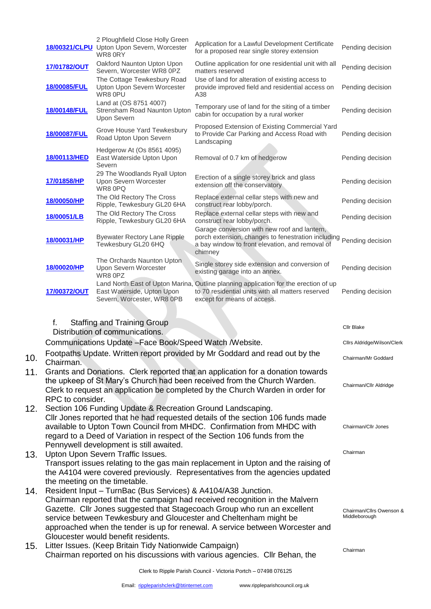|                                 |                               | 2 Ploughfield Close Holly Green<br>18/00321/CLPU Upton Upon Severn, Worcester<br>WR80RY                                                                                                         | Application for a Lawful Development Certificate<br>for a proposed rear single storey extension                                                                                                                                                                                                               | Pending decision                          |
|---------------------------------|-------------------------------|-------------------------------------------------------------------------------------------------------------------------------------------------------------------------------------------------|---------------------------------------------------------------------------------------------------------------------------------------------------------------------------------------------------------------------------------------------------------------------------------------------------------------|-------------------------------------------|
|                                 | 17/01782/OUT                  | Oakford Naunton Upton Upon<br>Severn, Worcester WR8 0PZ                                                                                                                                         | Outline application for one residential unit with all<br>matters reserved                                                                                                                                                                                                                                     | Pending decision                          |
|                                 | 18/00085/FUL                  | The Cottage Tewkesbury Road<br>Upton Upon Severn Worcester<br>WR8 0PU                                                                                                                           | Use of land for alteration of existing access to<br>provide improved field and residential access on<br>A38                                                                                                                                                                                                   | Pending decision                          |
|                                 | 18/00148/FUL                  | Land at (OS 8751 4007)<br>Strensham Road Naunton Upton<br>Upon Severn                                                                                                                           | Temporary use of land for the siting of a timber<br>cabin for occupation by a rural worker                                                                                                                                                                                                                    | Pending decision                          |
|                                 | 18/00087/FUL                  | Grove House Yard Tewkesbury<br>Road Upton Upon Severn                                                                                                                                           | Proposed Extension of Existing Commercial Yard<br>to Provide Car Parking and Access Road with<br>Landscaping                                                                                                                                                                                                  | Pending decision                          |
|                                 | 18/00113/HED                  | Hedgerow At (Os 8561 4095)<br>East Waterside Upton Upon<br>Severn                                                                                                                               | Removal of 0.7 km of hedgerow                                                                                                                                                                                                                                                                                 | Pending decision                          |
|                                 | 17/01858/HP                   | 29 The Woodlands Ryall Upton<br>Upon Severn Worcester<br>WR8 0PQ                                                                                                                                | Erection of a single storey brick and glass<br>extension off the conservatory                                                                                                                                                                                                                                 | Pending decision                          |
|                                 | 18/00050/HP                   | The Old Rectory The Cross<br>Ripple, Tewkesbury GL20 6HA                                                                                                                                        | Replace external cellar steps with new and<br>construct rear lobby/porch.                                                                                                                                                                                                                                     | Pending decision                          |
|                                 | 18/00051/LB                   | The Old Rectory The Cross<br>Ripple, Tewkesbury GL20 6HA                                                                                                                                        | Replace external cellar steps with new and<br>construct rear lobby/porch.                                                                                                                                                                                                                                     | Pending decision                          |
|                                 | 18/00031/HP                   | <b>Byewater Rectory Lane Ripple</b><br>Tewkesbury GL20 6HQ                                                                                                                                      | Garage conversion with new roof and lantern,<br>porch extension, changes to fenestration including Pending decision<br>a bay window to front elevation, and removal of<br>chimney                                                                                                                             |                                           |
|                                 | 18/00020/HP                   | The Orchards Naunton Upton<br>Upon Severn Worcester<br>WR8 0PZ                                                                                                                                  | Single storey side extension and conversion of<br>existing garage into an annex.                                                                                                                                                                                                                              | Pending decision                          |
|                                 | 17/00372/OUT                  | East Waterside, Upton Upon<br>Severn, Worcester, WR8 0PB                                                                                                                                        | Land North East of Upton Marina, Outline planning application for the erection of up<br>to 70 residential units with all matters reserved<br>except for means of access.                                                                                                                                      | Pending decision                          |
|                                 |                               |                                                                                                                                                                                                 |                                                                                                                                                                                                                                                                                                               |                                           |
|                                 |                               |                                                                                                                                                                                                 |                                                                                                                                                                                                                                                                                                               |                                           |
|                                 | f.                            | <b>Staffing and Training Group</b>                                                                                                                                                              |                                                                                                                                                                                                                                                                                                               | Cllr Blake                                |
|                                 |                               | Distribution of communications.<br>Communications Update - Face Book/Speed Watch / Website.                                                                                                     |                                                                                                                                                                                                                                                                                                               | Cllrs Aldridge/Wilson/Clerk               |
| 10.                             |                               |                                                                                                                                                                                                 | Footpaths Update. Written report provided by Mr Goddard and read out by the                                                                                                                                                                                                                                   | Chairman/Mr Goddard                       |
|                                 | Chairman.<br>RPC to consider. |                                                                                                                                                                                                 | Grants and Donations. Clerk reported that an application for a donation towards<br>the upkeep of St Mary's Church had been received from the Church Warden.<br>Clerk to request an application be completed by the Church Warden in order for                                                                 | Chairman/Cllr Aldridge                    |
|                                 |                               | Section 106 Funding Update & Recreation Ground Landscaping.<br>Pennywell development is still awaited.                                                                                          | Cllr Jones reported that he had requested details of the section 106 funds made<br>available to Upton Town Council from MHDC. Confirmation from MHDC with<br>regard to a Deed of Variation in respect of the Section 106 funds from the                                                                       | Chairman/Cllr Jones                       |
|                                 |                               | Upton Upon Severn Traffic Issues.                                                                                                                                                               | Transport issues relating to the gas main replacement in Upton and the raising of<br>the A4104 were covered previously. Representatives from the agencies updated                                                                                                                                             | Chairman                                  |
| 11.<br>12.<br>13.<br>14.<br>15. |                               | the meeting on the timetable.<br>Resident Input - TurnBac (Bus Services) & A4104/A38 Junction.<br>Gloucester would benefit residents.<br>Litter Issues. (Keep Britain Tidy Nationwide Campaign) | Chairman reported that the campaign had received recognition in the Malvern<br>Gazette. Cllr Jones suggested that Stagecoach Group who run an excellent<br>service between Tewkesbury and Gloucester and Cheltenham might be<br>approached when the tender is up for renewal. A service between Worcester and | Chairman/Cllrs Owenson &<br>Middleborough |

Clerk to Ripple Parish Council - Victoria Portch – 07498 076125